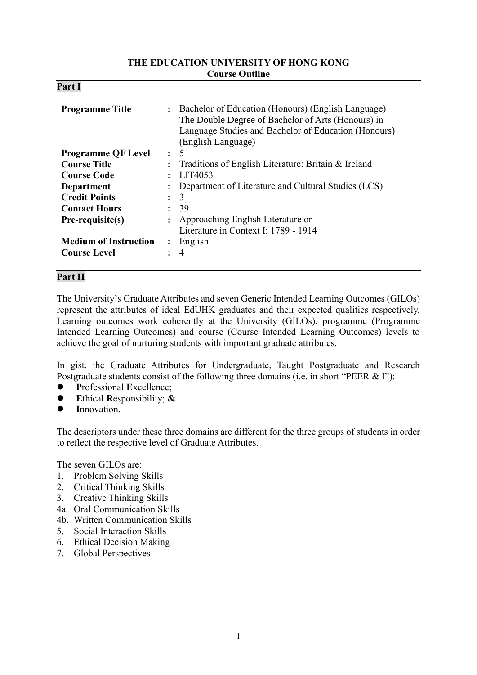#### **THE EDUCATION UNIVERSITY OF HONG KONG Course Outline**

| D.<br>'ar<br>4. |  |
|-----------------|--|
|-----------------|--|

| <b>Programme Title</b>       | $\ddot{\cdot}$ | Bachelor of Education (Honours) (English Language)<br>The Double Degree of Bachelor of Arts (Honours) in<br>Language Studies and Bachelor of Education (Honours)<br>(English Language) |
|------------------------------|----------------|----------------------------------------------------------------------------------------------------------------------------------------------------------------------------------------|
| <b>Programme QF Level</b>    | $\ddot{\cdot}$ | 5                                                                                                                                                                                      |
| <b>Course Title</b>          | $\ddot{\cdot}$ | Traditions of English Literature: Britain & Ireland                                                                                                                                    |
| <b>Course Code</b>           |                | LIT4053                                                                                                                                                                                |
| <b>Department</b>            |                | Department of Literature and Cultural Studies (LCS)                                                                                                                                    |
| <b>Credit Points</b>         | $\ddot{\cdot}$ | 3                                                                                                                                                                                      |
| <b>Contact Hours</b>         | $\ddot{\cdot}$ | -39                                                                                                                                                                                    |
| Pre-requisite(s)             |                | Approaching English Literature or                                                                                                                                                      |
|                              |                | Literature in Context I: 1789 - 1914                                                                                                                                                   |
| <b>Medium of Instruction</b> | $\ddot{\cdot}$ | English                                                                                                                                                                                |
| <b>Course Level</b>          |                | 4                                                                                                                                                                                      |

# **Part II**

The University's Graduate Attributes and seven Generic Intended Learning Outcomes (GILOs) represent the attributes of ideal EdUHK graduates and their expected qualities respectively. Learning outcomes work coherently at the University (GILOs), programme (Programme Intended Learning Outcomes) and course (Course Intended Learning Outcomes) levels to achieve the goal of nurturing students with important graduate attributes.

In gist, the Graduate Attributes for Undergraduate, Taught Postgraduate and Research Postgraduate students consist of the following three domains (i.e. in short "PEER & I"):

- **P**rofessional **E**xcellence;
- **E**thical **R**esponsibility; **&**
- **I**nnovation.

The descriptors under these three domains are different for the three groups of students in order to reflect the respective level of Graduate Attributes.

The seven GILOs are:

- 1. Problem Solving Skills
- 2. Critical Thinking Skills
- 3. Creative Thinking Skills
- 4a. Oral Communication Skills
- 4b. Written Communication Skills
- 5. Social Interaction Skills
- 6. Ethical Decision Making
- 7. Global Perspectives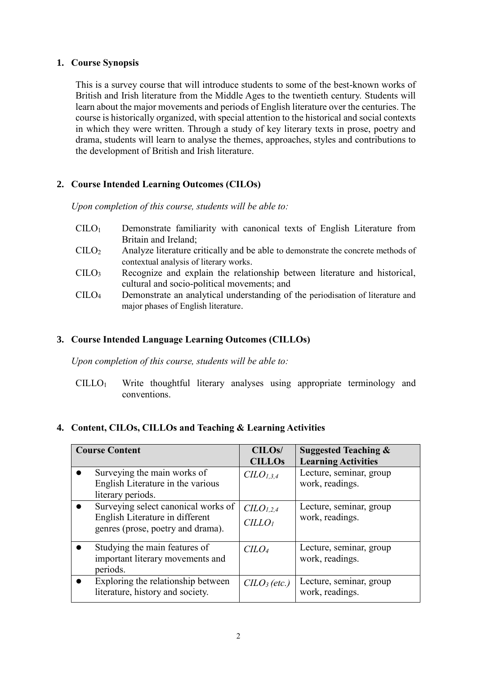#### **1. Course Synopsis**

This is a survey course that will introduce students to some of the best-known works of British and Irish literature from the Middle Ages to the twentieth century. Students will learn about the major movements and periods of English literature over the centuries. The course is historically organized, with special attention to the historical and social contexts in which they were written. Through a study of key literary texts in prose, poetry and drama, students will learn to analyse the themes, approaches, styles and contributions to the development of British and Irish literature.

# **2. Course Intended Learning Outcomes (CILOs)**

*Upon completion of this course, students will be able to:*

- CILO<sup>1</sup> Demonstrate familiarity with canonical texts of English Literature from Britain and Ireland;
- $C I L O<sub>2</sub>$  Analyze literature critically and be able to demonstrate the concrete methods of contextual analysis of literary works.
- CILO<sup>3</sup> Recognize and explain the relationship between literature and historical, cultural and socio-political movements; and
- CILO<sup>4</sup> Demonstrate an analytical understanding of the periodisation of literature and major phases of English literature.

# **3. Course Intended Language Learning Outcomes (CILLOs)**

*Upon completion of this course, students will be able to:*

CILLO<sup>1</sup> Write thoughtful literary analyses using appropriate terminology and conventions.

# **4. Content, CILOs, CILLOs and Teaching & Learning Activities**

| <b>Course Content</b>                                                                                       | <b>CILOs/</b><br><b>CILLOs</b>             | <b>Suggested Teaching &amp;</b><br><b>Learning Activities</b> |
|-------------------------------------------------------------------------------------------------------------|--------------------------------------------|---------------------------------------------------------------|
| Surveying the main works of<br>English Literature in the various<br>literary periods.                       | $CLO_{1,3,4}$                              | Lecture, seminar, group<br>work, readings.                    |
| Surveying select canonical works of<br>English Literature in different<br>genres (prose, poetry and drama). | CLO <sub>1,2,4</sub><br>CILLO <sub>I</sub> | Lecture, seminar, group<br>work, readings.                    |
| Studying the main features of<br>important literary movements and<br>periods.                               | C <sub>LO</sub>                            | Lecture, seminar, group<br>work, readings.                    |
| Exploring the relationship between<br>literature, history and society.                                      | $CLO3$ (etc.)                              | Lecture, seminar, group<br>work, readings.                    |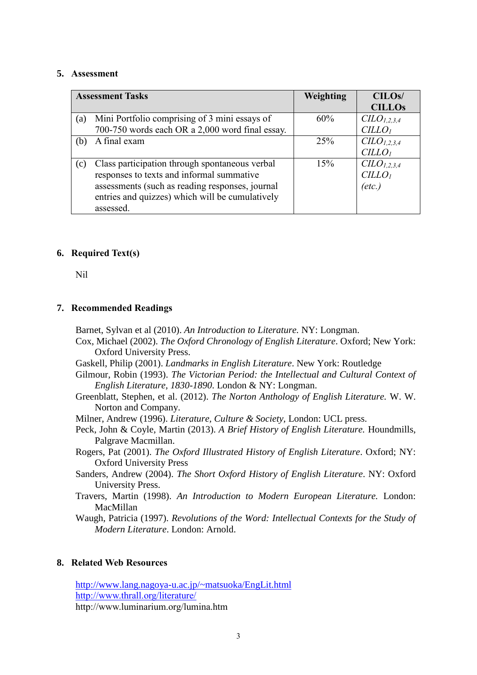#### **5. Assessment**

|     | <b>Assessment Tasks</b>                         | Weighting | CILO <sub>s</sub> /    |
|-----|-------------------------------------------------|-----------|------------------------|
|     |                                                 |           | <b>CILLOS</b>          |
| (a) | Mini Portfolio comprising of 3 mini essays of   | 60%       | CLO <sub>1,2,3,4</sub> |
|     | 700-750 words each OR a 2,000 word final essay. |           | CILLO <sub>1</sub>     |
| (b) | A final exam                                    | 25%       | CLO <sub>1,2,3,4</sub> |
|     |                                                 |           | CILLO <sub>1</sub>     |
| (c) | Class participation through spontaneous verbal  | 15%       | CLO <sub>1,2,3,4</sub> |
|     | responses to texts and informal summative       |           | CILLO <sub>1</sub>     |
|     | assessments (such as reading responses, journal |           | (etc.)                 |
|     | entries and quizzes) which will be cumulatively |           |                        |
|     | assessed.                                       |           |                        |

### **6. Required Text(s)**

Nil

#### **7. Recommended Readings**

Barnet, Sylvan et al (2010). *An Introduction to Literature.* NY: Longman.

- Cox, Michael (2002). *The Oxford Chronology of English Literature*. Oxford; New York: Oxford University Press.
- Gaskell, Philip (2001). *Landmarks in English Literature*. New York: Routledge
- Gilmour, Robin (1993). *The Victorian Period: the Intellectual and Cultural Context of English Literature, 1830-1890*. London & NY: Longman.
- Greenblatt, Stephen, et al. (2012). *The Norton Anthology of English Literature.* W. W. Norton and Company.
- Milner, Andrew (1996). *Literature, Culture & Society,* London: UCL press.
- Peck, John & Coyle, Martin (2013). *A Brief History of English Literature.* Houndmills, Palgrave Macmillan.
- Rogers, Pat (2001). *The Oxford Illustrated History of English Literature*. Oxford; NY: Oxford University Press
- Sanders, Andrew (2004). *The Short Oxford History of English Literature*. NY: Oxford University Press.
- Travers, Martin (1998). *An Introduction to Modern European Literature.* London: MacMillan

Waugh, Patricia (1997). *Revolutions of the Word: Intellectual Contexts for the Study of Modern Literature*. London: Arnold.

#### **8. Related Web Resources**

<http://www.lang.nagoya-u.ac.jp/~matsuoka/EngLit.html> <http://www.thrall.org/literature/> http://www.luminarium.org/lumina.htm